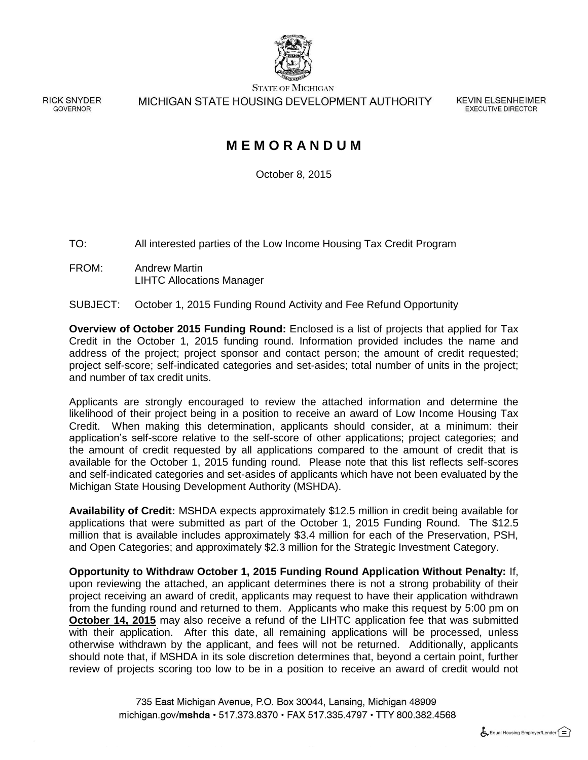

**STATE OF MICHIGAN** 

MICHIGAN STATE HOUSING DEVELOPMENT AUTHORITY

**KEVIN ELSENHEIMER EXECUTIVE DIRECTOR** 

# **M E M O R A N D U M**

October 8, 2015

TO: All interested parties of the Low Income Housing Tax Credit Program

FROM: Andrew Martin LIHTC Allocations Manager

**RICK SNYDER** 

GOVERNOR

#### SUBJECT: October 1, 2015 Funding Round Activity and Fee Refund Opportunity

**Overview of October 2015 Funding Round:** Enclosed is a list of projects that applied for Tax Credit in the October 1, 2015 funding round. Information provided includes the name and address of the project; project sponsor and contact person; the amount of credit requested; project self-score; self-indicated categories and set-asides; total number of units in the project; and number of tax credit units.

Applicants are strongly encouraged to review the attached information and determine the likelihood of their project being in a position to receive an award of Low Income Housing Tax Credit. When making this determination, applicants should consider, at a minimum: their application's self-score relative to the self-score of other applications; project categories; and the amount of credit requested by all applications compared to the amount of credit that is available for the October 1, 2015 funding round. Please note that this list reflects self-scores and self-indicated categories and set-asides of applicants which have not been evaluated by the Michigan State Housing Development Authority (MSHDA).

**Availability of Credit:** MSHDA expects approximately \$12.5 million in credit being available for applications that were submitted as part of the October 1, 2015 Funding Round. The \$12.5 million that is available includes approximately \$3.4 million for each of the Preservation, PSH, and Open Categories; and approximately \$2.3 million for the Strategic Investment Category.

**Opportunity to Withdraw October 1, 2015 Funding Round Application Without Penalty:** If, upon reviewing the attached, an applicant determines there is not a strong probability of their project receiving an award of credit, applicants may request to have their application withdrawn from the funding round and returned to them. Applicants who make this request by 5:00 pm on **October 14, 2015** may also receive a refund of the LIHTC application fee that was submitted with their application. After this date, all remaining applications will be processed, unless otherwise withdrawn by the applicant, and fees will not be returned. Additionally, applicants should note that, if MSHDA in its sole discretion determines that, beyond a certain point, further review of projects scoring too low to be in a position to receive an award of credit would not

> 735 East Michigan Avenue, P.O. Box 30044, Lansing, Michigan 48909 michigan.gov/mshda · 517.373.8370 · FAX 517.335.4797 · TTY 800.382.4568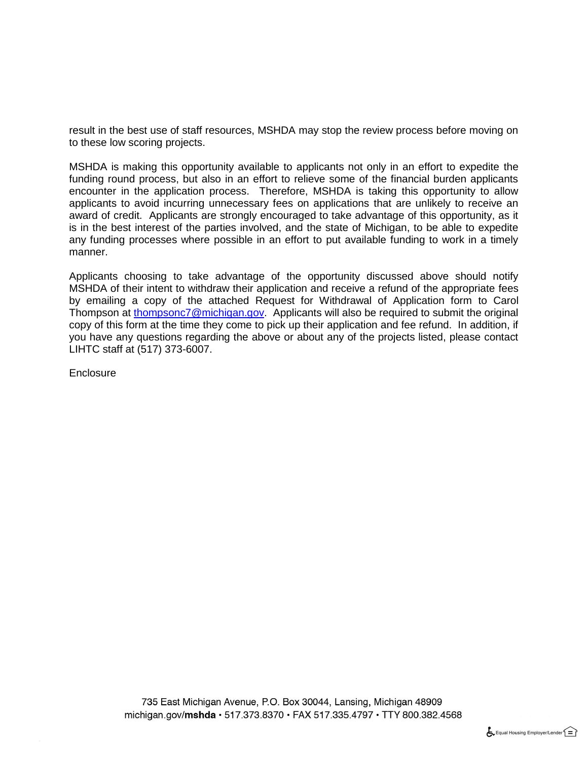result in the best use of staff resources, MSHDA may stop the review process before moving on to these low scoring projects.

MSHDA is making this opportunity available to applicants not only in an effort to expedite the funding round process, but also in an effort to relieve some of the financial burden applicants encounter in the application process. Therefore, MSHDA is taking this opportunity to allow applicants to avoid incurring unnecessary fees on applications that are unlikely to receive an award of credit. Applicants are strongly encouraged to take advantage of this opportunity, as it is in the best interest of the parties involved, and the state of Michigan, to be able to expedite any funding processes where possible in an effort to put available funding to work in a timely manner.

Applicants choosing to take advantage of the opportunity discussed above should notify MSHDA of their intent to withdraw their application and receive a refund of the appropriate fees by emailing a copy of the attached Request for Withdrawal of Application form to Carol Thompson at [thompsonc7@michigan.gov.](mailto:thompsonc7@michigan.gov) Applicants will also be required to submit the original copy of this form at the time they come to pick up their application and fee refund. In addition, if you have any questions regarding the above or about any of the projects listed, please contact LIHTC staff at (517) 373-6007.

**Enclosure** 

735 East Michigan Avenue, P.O. Box 30044, Lansing, Michigan 48909 michigan.gov/mshda · 517.373.8370 · FAX 517.335.4797 · TTY 800.382.4568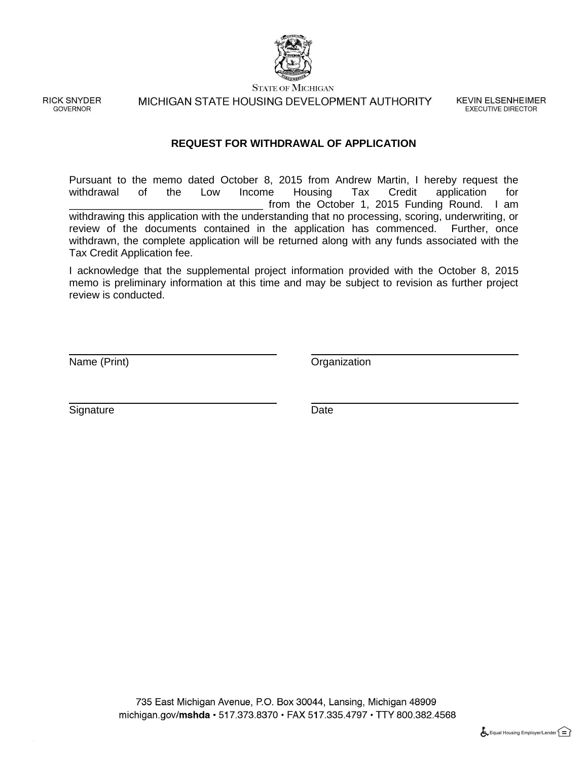

**STATE OF MICHIGAN** 

**RICK SNYDER GOVERNOR** 

MICHIGAN STATE HOUSING DEVELOPMENT AUTHORITY

**KEVIN ELSENHEIMER EXECUTIVE DIRECTOR** 

#### **REQUEST FOR WITHDRAWAL OF APPLICATION**

Pursuant to the memo dated October 8, 2015 from Andrew Martin, I hereby request the withdrawal of the Low Income Housing Tax Credit application for of the Low Income Housing Tax Credit application for from the October 1, 2015 Funding Round. I am withdrawing this application with the understanding that no processing, scoring, underwriting, or review of the documents contained in the application has commenced. Further, once withdrawn, the complete application will be returned along with any funds associated with the Tax Credit Application fee.

I acknowledge that the supplemental project information provided with the October 8, 2015 memo is preliminary information at this time and may be subject to revision as further project review is conducted.

Name (Print) **Name** (Print)

Signature Date Date

735 East Michigan Avenue, P.O. Box 30044, Lansing, Michigan 48909 michigan.gov/mshda · 517.373.8370 · FAX 517.335.4797 · TTY 800.382.4568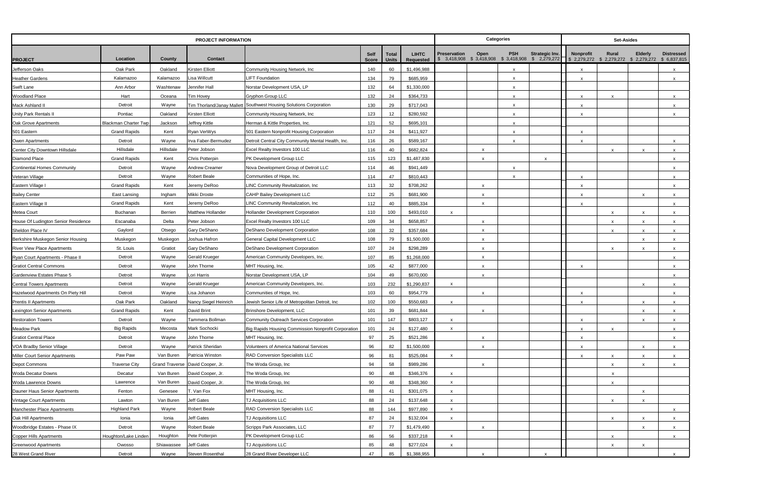|                                     |                             |                       | <b>PROJECT INFORMATION</b> |                                                                    |              |              |              |                           | <b>Categories</b>                                                                                                                          |                           |                                                                   | Set-Asides                |                           |                           |
|-------------------------------------|-----------------------------|-----------------------|----------------------------|--------------------------------------------------------------------|--------------|--------------|--------------|---------------------------|--------------------------------------------------------------------------------------------------------------------------------------------|---------------------------|-------------------------------------------------------------------|---------------------------|---------------------------|---------------------------|
|                                     |                             |                       |                            |                                                                    | <b>Self</b>  | <b>Total</b> | <b>LIHTC</b> | <b>Preservation</b>       | <b>PSH</b><br>Open                                                                                                                         | Strategic Inv.            | <b>Nonprofit</b>                                                  | Rural                     | <b>Elderly</b>            | <b>Distressed</b>         |
| <b>PROJECT</b>                      | Location                    | County                | Contact                    |                                                                    | <b>Score</b> | <b>Units</b> | Requested    |                           | $\begin{array}{ ccccccccc } \text{$\$} & 3,418,908 & \text{$\$} & 3,418,908 & \text{$\$} & 3,418,908 & \text{$\$} & 2,279,272 \end{array}$ |                           | $\frac{1}{2}$ \$ 2,279,272 \$ 2,279,272 \$ 2,279,272 \$ 6,837,815 |                           |                           |                           |
| Jefferson Oaks                      | Oak Park                    | Oakland               | Kirsten Elliott            | Community Housing Network, Inc.                                    | 140          | 60           | \$1.496.988  |                           | $\mathbf{x}$                                                                                                                               |                           | x                                                                 |                           |                           | $\mathsf{x}$              |
| <b>Heather Gardens</b>              | Kalamazoo                   | Kalamazoo             | Lisa Willcutt              | <b>LIFT Foundation</b>                                             | 134          | 79           | \$685,959    |                           | x                                                                                                                                          |                           |                                                                   |                           |                           | $\boldsymbol{\mathsf{x}}$ |
| <b>Swift Lane</b>                   | Ann Arbor                   | Washtenaw             | Jennifer Hall              | Norstar Development USA, LP                                        | 132          | 64           | \$1,330,000  |                           | $\times$                                                                                                                                   |                           |                                                                   |                           |                           |                           |
| <b>Woodland Place</b>               | Hart                        | Oceana                | Tim Hovey                  | Gryphon Group LLC                                                  | 132          | 24           | \$364,733    |                           | $\boldsymbol{\mathsf{x}}$                                                                                                                  |                           | $\boldsymbol{\mathsf{x}}$                                         | $\mathsf{x}$              |                           | X                         |
| Mack Ashland II                     | Detroit                     | Wayne                 |                            | Tim Thorland/Janay Mallett Southwest Housing Solutions Corporation | 130          | 29           | \$717,043    |                           | $\boldsymbol{\mathsf{x}}$                                                                                                                  |                           | $\mathsf{x}$                                                      |                           |                           | $\boldsymbol{\mathsf{x}}$ |
| Unity Park Rentals II               | Pontiac                     | Oakland               | Kirsten Elliott            | Community Housing Network, Inc.                                    | 123          | 12           | \$280,592    |                           | $\boldsymbol{\mathsf{x}}$                                                                                                                  |                           | $\mathsf{x}$                                                      |                           |                           | $\mathsf{x}$              |
| Oak Grove Apartments                | <b>Blackman Charter Twp</b> | Jackson               | Jeffrey Kittle             | Herman & Kittle Properties, Inc.                                   | 121          | 52           | \$695,101    |                           | X                                                                                                                                          |                           |                                                                   |                           |                           |                           |
| 501 Eastern                         | <b>Grand Rapids</b>         | Kent                  | Ryan VerWys                | 501 Eastern Nonprofit Housing Corporation                          | 117          | 24           | \$411,927    |                           | $\boldsymbol{\mathsf{x}}$                                                                                                                  |                           | $\boldsymbol{\mathsf{x}}$                                         |                           |                           |                           |
| Owen Apartments                     | Detroit                     | Wayne                 | Irva Faber-Bermudez        | Detroit Central City Community Mental Health, Inc.                 | 116          | 26           | \$589,167    |                           | $\boldsymbol{\mathsf{x}}$                                                                                                                  |                           | $\boldsymbol{\mathsf{x}}$                                         |                           |                           | X                         |
| Center City Downtown Hillsdale      | Hillsdale                   | Hillsdale             | Peter Jobson               | Excel Realty Investors 100 LLC                                     | 116          | 40           | \$682,824    |                           | $\mathsf{x}$                                                                                                                               |                           |                                                                   | $\boldsymbol{\mathsf{x}}$ | $\boldsymbol{\mathsf{x}}$ | $\boldsymbol{\mathsf{x}}$ |
| Diamond Place                       | <b>Grand Rapids</b>         | Kent                  | Chris Potterpin            | PK Development Group LLC                                           | 115          | 123          | \$1,487,830  |                           | $\boldsymbol{\mathsf{x}}$                                                                                                                  | $\mathsf{x}$              |                                                                   |                           |                           | $\mathsf{x}$              |
| <b>Continental Homes Community</b>  | Detroit                     | Wayne                 | Andrew Creamer             | Nova Development Group of Detroit LLC                              | 114          | 46           | \$941,449    |                           | $\times$                                                                                                                                   |                           |                                                                   |                           |                           | $\boldsymbol{\mathsf{x}}$ |
| Veteran Village                     | Detroit                     | Wayne                 | <b>Robert Beale</b>        | Communities of Hope, Inc.                                          | 114          | 47           | \$810,443    |                           | X                                                                                                                                          |                           |                                                                   |                           |                           | $\mathsf{x}$              |
| Eastern Village I                   | <b>Grand Rapids</b>         | Kent                  | Jeremy DeRoo               | LINC Community Revitalization, Inc                                 | 113          | 32           | \$708,262    |                           | X                                                                                                                                          |                           | $\mathbf{x}$                                                      |                           |                           | $\boldsymbol{\mathsf{x}}$ |
| <b>Bailey Center</b>                | East Lansing                | Ingham                | Mikki Droste               | <b>CAHP Bailey Development LLC</b>                                 | 112          | 25           | \$681,900    |                           | $\mathsf{x}$                                                                                                                               |                           | $\mathsf{x}$                                                      |                           | $\boldsymbol{\mathsf{x}}$ | $\boldsymbol{\mathsf{x}}$ |
| Eastern Village II                  | <b>Grand Rapids</b>         | Kent                  | Jeremy DeRoo               | LINC Community Revitalization, Inc.                                | 112          | 40           | \$885,334    |                           | $\mathsf{x}$                                                                                                                               |                           | $\mathsf{x}$                                                      |                           |                           | $\mathsf{x}$              |
| Metea Court                         | Buchanan                    | Berrien               | Matthew Hollander          | <b>Hollander Development Corporation</b>                           | 110          | 100          | \$493,010    | $\boldsymbol{\mathsf{x}}$ |                                                                                                                                            |                           |                                                                   | $\boldsymbol{\mathsf{x}}$ | X                         | $\mathsf{x}$              |
| House Of Ludington Senior Residence | Escanaba                    | Delta                 | Peter Jobson               | Excel Realty Investors 100 LLC                                     | 109          | 34           | \$658,857    |                           | $\mathsf{x}$                                                                                                                               |                           |                                                                   | $\mathsf{x}$              |                           | $\mathsf{x}$              |
| Sheldon Place IV                    | Gaylord                     | Otsego                | Gary DeShano               | DeShano Development Corporation                                    | 108          | 32           | \$357,684    |                           | X                                                                                                                                          |                           |                                                                   | $\mathsf{x}$              | $\boldsymbol{\mathsf{x}}$ | $\mathsf{x}$              |
| Berkshire Muskegon Senior Housing   | Muskegon                    | Muskegon              | Joshua Hafron              | <b>General Capital Development LLC</b>                             | 108          | 79           | \$1,500,000  |                           | $\mathsf{x}$                                                                                                                               |                           |                                                                   |                           | $\boldsymbol{\mathsf{x}}$ | $\boldsymbol{\mathsf{x}}$ |
| <b>River View Place Apartments</b>  | St. Louis                   | Gratiot               | Gary DeShano               | <b>DeShano Development Corporation</b>                             | 107          | 24           | \$298,289    |                           | x                                                                                                                                          |                           |                                                                   | $\mathbf{x}$              |                           | $\mathsf{x}$              |
| Ryan Court Apartments - Phase II    | Detroit                     | Wayne                 | <b>Gerald Krueger</b>      | American Community Developers, Inc.                                | 107          | 85           | \$1,268,000  |                           | $\mathsf{x}$                                                                                                                               |                           |                                                                   |                           |                           | $\boldsymbol{\mathsf{x}}$ |
| <b>Gratiot Central Commons</b>      | Detroit                     | Wayne                 | John Thorne                | MHT Housing, Inc.                                                  | 105          | 42           | \$877,000    |                           | х                                                                                                                                          |                           |                                                                   |                           |                           | $\mathsf{x}$              |
| Gardenview Estates Phase 5          | Detroit                     | Wayne                 | Lori Harris                | Norstar Development USA, LP                                        | 104          | 49           | \$670,000    |                           | $\mathsf{x}$                                                                                                                               |                           |                                                                   |                           |                           | $\mathsf{x}$              |
| <b>Central Towers Apartments</b>    | Detroit                     | Wayne                 | <b>Gerald Krueger</b>      | American Community Developers, Inc.                                | 103          | 232          | \$1,290,837  | $\boldsymbol{\mathsf{x}}$ |                                                                                                                                            |                           |                                                                   |                           | $\mathsf{x}$              | $\boldsymbol{\mathsf{x}}$ |
| Hazelwood Apartments On Piety Hill  | Detroit                     | Wayne                 | Lisa Johanon               | Communities of Hope, Inc.                                          | 103          | 60           | \$954,779    |                           | $\mathsf{x}$                                                                                                                               |                           | $\boldsymbol{\mathsf{x}}$                                         |                           |                           | $\mathsf{x}$              |
| Prentis II Apartments               | Oak Park                    | Oakland               | Nancy Siegel Heinrich      | Jewish Senior Life of Metropolitan Detroit, Inc                    | 102          | 100          | \$550,683    | $\boldsymbol{\mathsf{x}}$ |                                                                                                                                            |                           | X                                                                 |                           | $\mathsf{x}$              | X                         |
| Lexington Senior Apartments         | <b>Grand Rapids</b>         | Kent                  | David Brint                | Brinshore Development, LLC                                         | 101          | 39           | \$681,844    |                           | x                                                                                                                                          |                           |                                                                   |                           |                           | X                         |
| <b>Restoration Towers</b>           | Detroit                     | Wayne                 | Tammera Bollman            | Community Outreach Services Corporation                            | 101          | 147          | \$803,127    | $\mathsf{x}$              |                                                                                                                                            |                           | $\boldsymbol{\mathsf{x}}$                                         |                           | $\mathsf{x}$              | $\mathsf{X}$              |
| Meadow Park                         | <b>Big Rapids</b>           | Mecosta               | Mark Sochocki              | Big Rapids Housing Commission Nonprofit Corporation                | 101          | 24           | \$127,480    | $\mathsf{x}$              |                                                                                                                                            |                           | X                                                                 | $\boldsymbol{\mathsf{x}}$ |                           | $\mathsf{X}$              |
| <b>Gratiot Central Place</b>        | Detroit                     | Wayne                 | John Thorne                | MHT Housing, Inc.                                                  | 97           | 25           | \$521,286    |                           | $\mathsf{x}$                                                                                                                               |                           | $\boldsymbol{\mathsf{x}}$                                         |                           |                           | $\boldsymbol{\mathsf{x}}$ |
| VOA Bradby Senior Village           | Detroit                     | Wayne                 | Patrick Sheridan           | Volunteers of America National Services                            | 96           | 82           | \$1,500,000  |                           | X                                                                                                                                          |                           | $\boldsymbol{\mathsf{x}}$                                         |                           | $\boldsymbol{\mathsf{x}}$ | X                         |
| Miller Court Senior Apartments      | Paw Paw                     | Van Buren             | Patricia Winston           | <b>RAD Conversion Specialists LLC</b>                              | 96           | 81           | \$525,084    | $\mathsf{x}$              |                                                                                                                                            |                           | X                                                                 | $\mathsf{x}$              | $\boldsymbol{\mathsf{x}}$ | $\mathsf{x}$              |
| Depot Commons                       | <b>Traverse City</b>        | <b>Grand Traverse</b> | David Cooper, Jr.          | The Woda Group, Inc                                                | 94           | 58           | \$989,286    |                           | $\mathsf{x}$                                                                                                                               |                           |                                                                   | $\mathsf{x}$              | X                         | $\mathsf{x}$              |
| Woda Decatur Downs                  | Decatur                     | Van Buren             | David Cooper, Jr.          | The Woda Group, Inc                                                | 90           | 48           | \$346,376    | $\boldsymbol{\mathsf{x}}$ |                                                                                                                                            |                           |                                                                   | $\mathsf{x}$              |                           |                           |
| Woda Lawrence Downs                 | Lawrence                    | Van Buren             | David Cooper, Jr.          | The Woda Group, Inc                                                | 90           | 48           | \$348,360    | $\mathsf{x}$              |                                                                                                                                            |                           |                                                                   | $\boldsymbol{\mathsf{x}}$ |                           |                           |
| Dauner Haus Senior Apartments       | Fenton                      | Genesee               | T. Van Fox                 | MHT Housing, Inc.                                                  | 88           | 41           | \$301,075    | $\boldsymbol{\mathsf{x}}$ |                                                                                                                                            |                           |                                                                   |                           | X                         |                           |
| Vintage Court Apartments            | Lawton                      | Van Buren             | Jeff Gates                 | TJ Acquisitions LLC                                                | 88           | 24           | \$137,648    | $\mathsf{x}$              |                                                                                                                                            |                           |                                                                   | $\mathsf{x}$              | $\boldsymbol{\mathsf{x}}$ |                           |
| Manchester Place Apartments         | <b>Highland Park</b>        | Wayne                 | <b>Robert Beale</b>        | RAD Conversion Specialists LLC                                     | 88           | 144          | \$977,890    | $\mathsf{x}$              |                                                                                                                                            |                           |                                                                   |                           |                           | X.                        |
| Oak Hill Apartments                 | Ionia                       | Ionia                 | <b>Jeff Gates</b>          | <b>TJ Acquisitions LLC</b>                                         | 87           | 24           | \$132,004    | $\mathsf{x}$              |                                                                                                                                            |                           |                                                                   | $\mathsf{x}$              | $\boldsymbol{\mathsf{x}}$ | $\mathsf{x}$              |
| Woodbridge Estates - Phase IX       | Detroit                     | Wayne                 | Robert Beale               | Scripps Park Associates, LLC                                       | 87           | 77           | \$1,479,490  |                           | x                                                                                                                                          |                           |                                                                   |                           | $\mathsf{x}$              | $\mathsf{x}$              |
| Copper Hills Apartments             | Houghton/Lake Linden        | Houghton              | Pete Potterpin             | PK Development Group LLC                                           | 86           | 56           | \$337,218    | $\mathsf{x}$              |                                                                                                                                            |                           |                                                                   | $\mathsf{x}$              |                           | $\mathsf{x}$              |
| <b>Greenwood Apartments</b>         | Owosso                      | Shiawassee            | Jeff Gates                 | TJ Acquisitions LLC                                                | 85           | 48           | \$277,024    | $\boldsymbol{\mathsf{x}}$ |                                                                                                                                            |                           |                                                                   | $\mathsf{x}$              | X                         |                           |
| 28 West Grand River                 | Detroit                     | Wayne                 | Steven Rosenthal           | 28 Grand River Developer LLC                                       | 47           | 85           | \$1,388,955  |                           | X                                                                                                                                          | $\boldsymbol{\mathsf{x}}$ |                                                                   |                           |                           | $\mathsf{X}$              |
|                                     |                             |                       |                            |                                                                    |              |              |              |                           |                                                                                                                                            |                           |                                                                   |                           |                           |                           |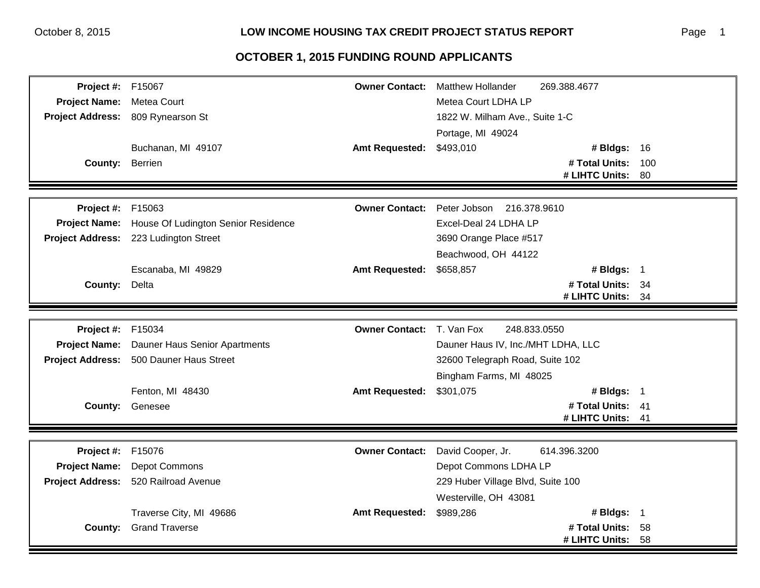| <b>Project #: F15067</b> |                                         | <b>Owner Contact:</b> | <b>Matthew Hollander</b>           | 269.388.4677                     |          |
|--------------------------|-----------------------------------------|-----------------------|------------------------------------|----------------------------------|----------|
| <b>Project Name:</b>     | Metea Court                             |                       | Metea Court LDHA LP                |                                  |          |
|                          | Project Address: 809 Rynearson St       |                       | 1822 W. Milham Ave., Suite 1-C     |                                  |          |
|                          |                                         |                       | Portage, MI 49024                  |                                  |          |
|                          | Buchanan, MI 49107                      | <b>Amt Requested:</b> | \$493,010                          | # Bldgs: 16                      |          |
| County: Berrien          |                                         |                       |                                    | # Total Units:                   | 100      |
|                          |                                         |                       |                                    | # LIHTC Units:                   | 80       |
|                          |                                         |                       |                                    |                                  |          |
| <b>Project #: F15063</b> |                                         | <b>Owner Contact:</b> | Peter Jobson 216.378.9610          |                                  |          |
| <b>Project Name:</b>     | House Of Ludington Senior Residence     |                       | Excel-Deal 24 LDHA LP              |                                  |          |
|                          | Project Address: 223 Ludington Street   |                       | 3690 Orange Place #517             |                                  |          |
|                          |                                         |                       | Beachwood, OH 44122                |                                  |          |
|                          | Escanaba, MI 49829                      | <b>Amt Requested:</b> | \$658,857                          | # Bldgs: 1                       |          |
| <b>County: Delta</b>     |                                         |                       |                                    | # Total Units: 34                |          |
|                          |                                         |                       |                                    | # LIHTC Units:                   | 34       |
|                          |                                         |                       |                                    |                                  |          |
| Project #:               | F15034                                  | <b>Owner Contact:</b> | 248.833.0550<br>T. Van Fox         |                                  |          |
| <b>Project Name:</b>     | Dauner Haus Senior Apartments           |                       | Dauner Haus IV, Inc./MHT LDHA, LLC |                                  |          |
|                          | Project Address: 500 Dauner Haus Street |                       | 32600 Telegraph Road, Suite 102    |                                  |          |
|                          |                                         |                       | Bingham Farms, MI 48025            |                                  |          |
|                          | Fenton, MI 48430                        | <b>Amt Requested:</b> | \$301,075                          | # Bldgs: 1                       |          |
|                          | <b>County: Genesee</b>                  |                       |                                    | # Total Units: 41                |          |
|                          |                                         |                       |                                    | # LIHTC Units:                   | 41       |
|                          |                                         |                       |                                    |                                  |          |
| Project #:               | F15076                                  | <b>Owner Contact:</b> | David Cooper, Jr.                  | 614.396.3200                     |          |
| <b>Project Name:</b>     |                                         |                       |                                    |                                  |          |
|                          | Depot Commons                           |                       | Depot Commons LDHA LP              |                                  |          |
| <b>Project Address:</b>  | 520 Railroad Avenue                     |                       | 229 Huber Village Blvd, Suite 100  |                                  |          |
|                          |                                         |                       | Westerville, OH 43081              |                                  |          |
|                          | Traverse City, MI 49686                 | <b>Amt Requested:</b> | \$989,286                          | # Bldgs: 1                       |          |
|                          | <b>County:</b> Grand Traverse           |                       |                                    | # Total Units:<br># LIHTC Units: | 58<br>58 |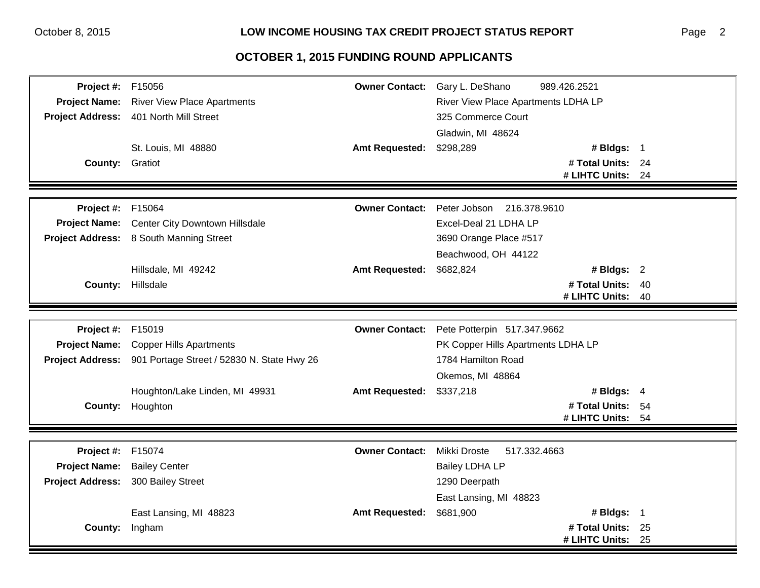| <b>Project #: F15056</b> |                                                             |                       | Owner Contact: Gary L. DeShano      | 989.426.2521                        |      |
|--------------------------|-------------------------------------------------------------|-----------------------|-------------------------------------|-------------------------------------|------|
|                          | Project Name: River View Place Apartments                   |                       | River View Place Apartments LDHA LP |                                     |      |
|                          | Project Address: 401 North Mill Street                      |                       | 325 Commerce Court                  |                                     |      |
|                          |                                                             |                       | Gladwin, MI 48624                   |                                     |      |
|                          | St. Louis, MI 48880                                         | <b>Amt Requested:</b> | \$298,289                           | # Bldgs: 1                          |      |
| <b>County: Gratiot</b>   |                                                             |                       |                                     | # Total Units: 24                   |      |
|                          |                                                             |                       |                                     | # LIHTC Units: 24                   |      |
|                          |                                                             |                       |                                     |                                     |      |
| <b>Project #: F15064</b> |                                                             | <b>Owner Contact:</b> | Peter Jobson 216.378.9610           |                                     |      |
|                          | Project Name: Center City Downtown Hillsdale                |                       | Excel-Deal 21 LDHA LP               |                                     |      |
|                          | Project Address: 8 South Manning Street                     |                       | 3690 Orange Place #517              |                                     |      |
|                          |                                                             |                       | Beachwood, OH 44122                 |                                     |      |
|                          | Hillsdale, MI 49242                                         | <b>Amt Requested:</b> | \$682,824                           | # Bldgs: 2                          |      |
|                          | County: Hillsdale                                           |                       |                                     | # Total Units: 40                   |      |
|                          |                                                             |                       |                                     | # LIHTC Units:                      | - 40 |
|                          |                                                             |                       |                                     |                                     |      |
| Project #: F15019        |                                                             | <b>Owner Contact:</b> | Pete Potterpin 517.347.9662         |                                     |      |
| <b>Project Name:</b>     | <b>Copper Hills Apartments</b>                              |                       | PK Copper Hills Apartments LDHA LP  |                                     |      |
|                          | Project Address: 901 Portage Street / 52830 N. State Hwy 26 |                       | 1784 Hamilton Road                  |                                     |      |
|                          |                                                             |                       | Okemos, MI 48864                    |                                     |      |
|                          | Houghton/Lake Linden, MI 49931                              | <b>Amt Requested:</b> | \$337,218                           | # Bldgs: $4$                        |      |
|                          | County: Houghton                                            |                       |                                     | # Total Units: 54                   |      |
|                          |                                                             |                       |                                     | # LIHTC Units: 54                   |      |
|                          |                                                             |                       |                                     |                                     |      |
| <b>Project #: F15074</b> |                                                             | <b>Owner Contact:</b> | Mikki Droste<br>517.332.4663        |                                     |      |
| <b>Project Name:</b>     | <b>Bailey Center</b>                                        |                       | <b>Bailey LDHA LP</b>               |                                     |      |
| <b>Project Address:</b>  | 300 Bailey Street                                           |                       | 1290 Deerpath                       |                                     |      |
|                          |                                                             |                       |                                     |                                     |      |
|                          |                                                             |                       | East Lansing, MI 48823              |                                     |      |
|                          | East Lansing, MI 48823                                      | <b>Amt Requested:</b> | \$681,900                           | # Bldgs: 1                          |      |
| <b>County:</b>           | Ingham                                                      |                       |                                     | # Total Units: 25<br># LIHTC Units: |      |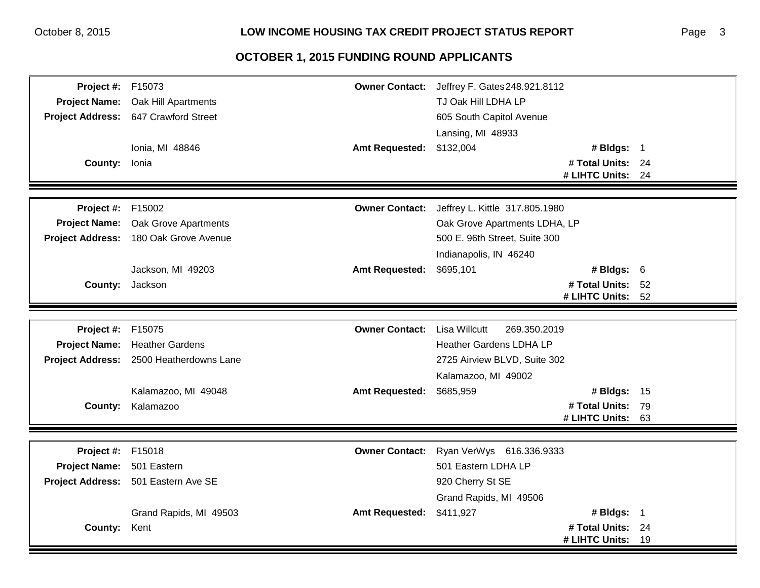| <b>Project #: F15073</b>  |                                         |                       | Owner Contact: Jeffrey F. Gates 248.921.8112 |                   |  |
|---------------------------|-----------------------------------------|-----------------------|----------------------------------------------|-------------------|--|
| <b>Project Name:</b>      | Oak Hill Apartments                     |                       | TJ Oak Hill LDHA LP                          |                   |  |
|                           | Project Address: 647 Crawford Street    |                       | 605 South Capitol Avenue                     |                   |  |
|                           |                                         |                       | Lansing, MI 48933                            |                   |  |
|                           | Ionia, MI 48846                         | <b>Amt Requested:</b> | \$132,004                                    | # Bldgs: 1        |  |
| County: Ionia             |                                         |                       |                                              | # Total Units: 24 |  |
|                           |                                         |                       |                                              | # LIHTC Units: 24 |  |
|                           |                                         |                       |                                              |                   |  |
| <b>Project #: F15002</b>  |                                         | <b>Owner Contact:</b> | Jeffrey L. Kittle 317.805.1980               |                   |  |
| <b>Project Name:</b>      | Oak Grove Apartments                    |                       | Oak Grove Apartments LDHA, LP                |                   |  |
|                           | Project Address: 180 Oak Grove Avenue   |                       | 500 E. 96th Street, Suite 300                |                   |  |
|                           |                                         |                       | Indianapolis, IN 46240                       |                   |  |
|                           | Jackson, MI 49203                       | <b>Amt Requested:</b> | \$695,101                                    | # Bldgs: $6$      |  |
|                           | <b>County:</b> Jackson                  |                       |                                              | # Total Units: 52 |  |
|                           |                                         |                       |                                              | # LIHTC Units: 52 |  |
|                           |                                         |                       |                                              |                   |  |
| <b>Project #: F15075</b>  |                                         | <b>Owner Contact:</b> | <b>Lisa Willcutt</b><br>269.350.2019         |                   |  |
| <b>Project Name:</b>      | <b>Heather Gardens</b>                  |                       | <b>Heather Gardens LDHA LP</b>               |                   |  |
|                           | Project Address: 2500 Heatherdowns Lane |                       | 2725 Airview BLVD, Suite 302                 |                   |  |
|                           |                                         |                       | Kalamazoo, MI 49002                          |                   |  |
|                           | Kalamazoo, MI 49048                     | <b>Amt Requested:</b> | \$685,959                                    | # Bldgs: 15       |  |
| County:                   | Kalamazoo                               |                       |                                              | # Total Units: 79 |  |
|                           |                                         |                       |                                              | # LIHTC Units: 63 |  |
|                           |                                         |                       |                                              |                   |  |
| Project #:                | F15018                                  | <b>Owner Contact:</b> | Ryan VerWys 616.336.9333                     |                   |  |
| Project Name: 501 Eastern |                                         |                       | 501 Eastern LDHA LP                          |                   |  |
|                           | Project Address: 501 Eastern Ave SE     |                       | 920 Cherry St SE                             |                   |  |
|                           |                                         |                       | Grand Rapids, MI 49506                       |                   |  |
|                           | Grand Rapids, MI 49503                  | <b>Amt Requested:</b> | \$411,927                                    | # Bldgs: 1        |  |
| <b>County:</b>            | Kent                                    |                       |                                              | # Total Units: 24 |  |
|                           |                                         |                       |                                              | # LIHTC Units: 19 |  |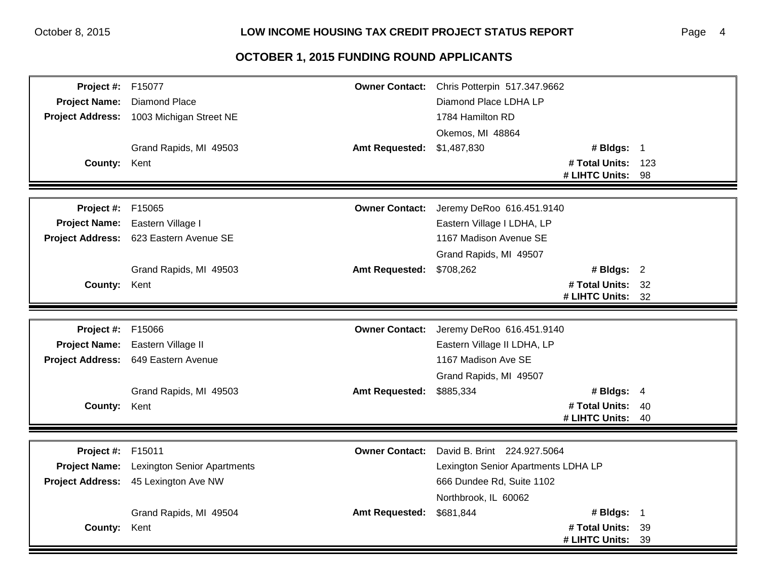#### Page 4

| <b>Project #: F15077</b> |                                                  |                       | Owner Contact: Chris Potterpin 517.347.9662 |                    |      |
|--------------------------|--------------------------------------------------|-----------------------|---------------------------------------------|--------------------|------|
| <b>Project Name:</b>     | <b>Diamond Place</b>                             |                       | Diamond Place LDHA LP                       |                    |      |
|                          | Project Address: 1003 Michigan Street NE         |                       | 1784 Hamilton RD                            |                    |      |
|                          |                                                  |                       | Okemos, MI 48864                            |                    |      |
|                          | Grand Rapids, MI 49503                           | <b>Amt Requested:</b> | \$1,487,830                                 | # Bldgs: 1         |      |
| County: Kent             |                                                  |                       |                                             | # Total Units: 123 |      |
|                          |                                                  |                       |                                             | # LIHTC Units:     | - 98 |
|                          |                                                  |                       |                                             |                    |      |
| <b>Project #: F15065</b> |                                                  | <b>Owner Contact:</b> | Jeremy DeRoo 616.451.9140                   |                    |      |
|                          | Project Name: Eastern Village I                  |                       | Eastern Village I LDHA, LP                  |                    |      |
|                          | Project Address: 623 Eastern Avenue SE           |                       | 1167 Madison Avenue SE                      |                    |      |
|                          |                                                  |                       | Grand Rapids, MI 49507                      |                    |      |
|                          | Grand Rapids, MI 49503                           | <b>Amt Requested:</b> | \$708,262                                   | # Bldgs: $2$       |      |
| County: Kent             |                                                  |                       |                                             | # Total Units: 32  |      |
|                          |                                                  |                       |                                             | # LIHTC Units: 32  |      |
|                          |                                                  |                       |                                             |                    |      |
| <b>Project #: F15066</b> |                                                  |                       | Owner Contact: Jeremy DeRoo 616.451.9140    |                    |      |
|                          | Project Name: Eastern Village II                 |                       | Eastern Village II LDHA, LP                 |                    |      |
|                          | Project Address: 649 Eastern Avenue              |                       | 1167 Madison Ave SE                         |                    |      |
|                          |                                                  |                       | Grand Rapids, MI 49507                      |                    |      |
|                          | Grand Rapids, MI 49503                           | <b>Amt Requested:</b> | \$885,334                                   | # Bldgs: $4$       |      |
| County: Kent             |                                                  |                       |                                             | # Total Units: 40  |      |
|                          |                                                  |                       |                                             | # LIHTC Units: 40  |      |
|                          |                                                  |                       |                                             |                    |      |
| <b>Project #: F15011</b> |                                                  | <b>Owner Contact:</b> | David B. Brint 224.927.5064                 |                    |      |
|                          | <b>Project Name:</b> Lexington Senior Apartments |                       | Lexington Senior Apartments LDHA LP         |                    |      |
|                          | Project Address: 45 Lexington Ave NW             |                       | 666 Dundee Rd, Suite 1102                   |                    |      |
|                          |                                                  |                       | Northbrook, IL 60062                        |                    |      |
|                          | Grand Rapids, MI 49504                           | <b>Amt Requested:</b> | \$681,844                                   | # Bldgs: $1$       |      |
| <b>County:</b>           | Kent                                             |                       |                                             | # Total Units: 39  |      |
|                          |                                                  |                       |                                             | # LIHTC Units:     | 39   |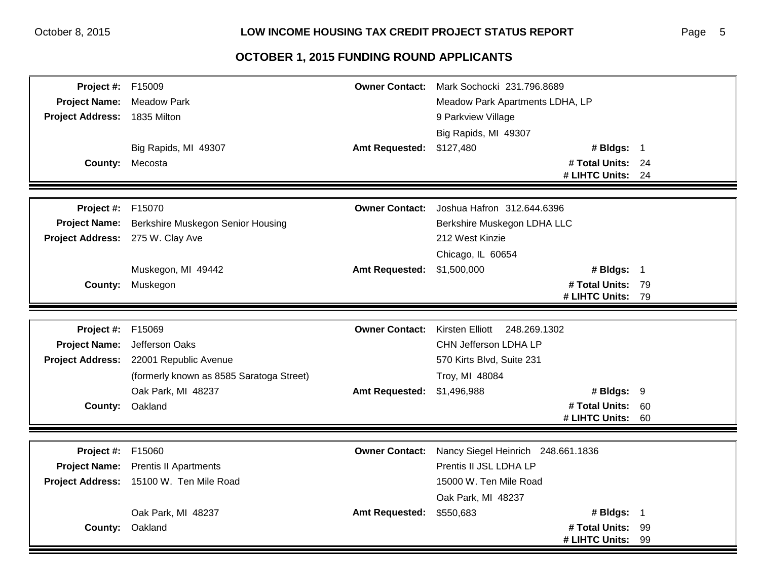| Project #:              | F15009                                   | <b>Owner Contact:</b> | Mark Sochocki 231.796.8689         |  |
|-------------------------|------------------------------------------|-----------------------|------------------------------------|--|
| <b>Project Name:</b>    | <b>Meadow Park</b>                       |                       | Meadow Park Apartments LDHA, LP    |  |
| <b>Project Address:</b> | 1835 Milton                              |                       | 9 Parkview Village                 |  |
|                         |                                          |                       | Big Rapids, MI 49307               |  |
|                         | Big Rapids, MI 49307                     | <b>Amt Requested:</b> | \$127,480<br># Bldgs: 1            |  |
| <b>County:</b>          | Mecosta                                  |                       | # Total Units: 24                  |  |
|                         |                                          |                       | # LIHTC Units: 24                  |  |
|                         |                                          |                       |                                    |  |
| Project #:              | F15070                                   | <b>Owner Contact:</b> | Joshua Hafron 312.644.6396         |  |
| <b>Project Name:</b>    | <b>Berkshire Muskegon Senior Housing</b> |                       | Berkshire Muskegon LDHA LLC        |  |
| <b>Project Address:</b> | 275 W. Clay Ave                          |                       | 212 West Kinzie                    |  |
|                         |                                          |                       | Chicago, IL 60654                  |  |
|                         | Muskegon, MI 49442                       | <b>Amt Requested:</b> | # Bldgs: 1<br>\$1,500,000          |  |
| County:                 | Muskegon                                 |                       | # Total Units: 79                  |  |
|                         |                                          |                       | # LIHTC Units: 79                  |  |
|                         |                                          |                       |                                    |  |
| Project #:              | F15069                                   | <b>Owner Contact:</b> | Kirsten Elliott 248.269.1302       |  |
| <b>Project Name:</b>    | Jefferson Oaks                           |                       | CHN Jefferson LDHA LP              |  |
|                         | Project Address: 22001 Republic Avenue   |                       | 570 Kirts Blvd, Suite 231          |  |
|                         | (formerly known as 8585 Saratoga Street) |                       | Troy, MI 48084                     |  |
|                         | Oak Park, MI 48237                       | <b>Amt Requested:</b> | # Bldgs: 9<br>\$1,496,988          |  |
|                         | County: Oakland                          |                       | # Total Units: 60                  |  |
|                         |                                          |                       | # LIHTC Units: 60                  |  |
|                         |                                          |                       |                                    |  |
| Project #:              | F15060                                   | <b>Owner Contact:</b> | Nancy Siegel Heinrich 248.661.1836 |  |
| <b>Project Name:</b>    | <b>Prentis II Apartments</b>             |                       | Prentis II JSL LDHA LP             |  |
|                         | Project Address: 15100 W. Ten Mile Road  |                       | 15000 W. Ten Mile Road             |  |
|                         |                                          |                       | Oak Park, MI 48237                 |  |
|                         | Oak Park, MI 48237                       | <b>Amt Requested:</b> | # Bldgs: 1<br>\$550,683            |  |
|                         | County: Oakland                          |                       | # Total Units: 99                  |  |
|                         |                                          |                       | # LIHTC Units: 99                  |  |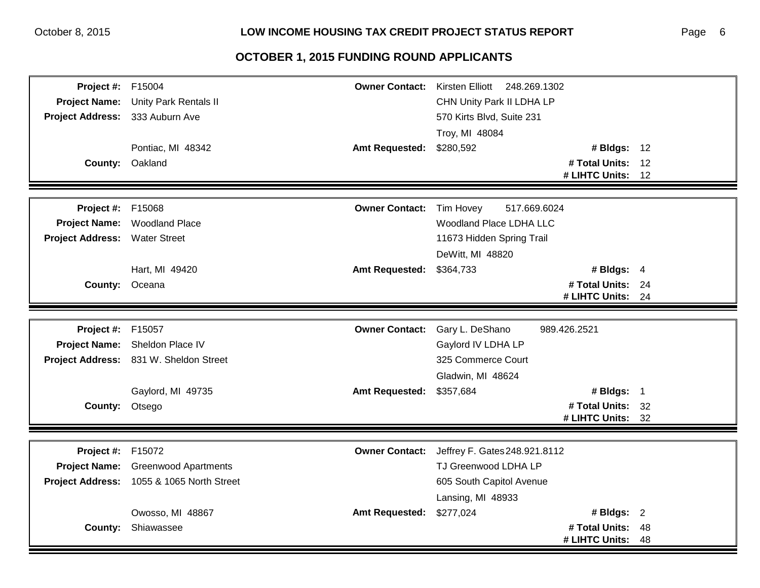| <b>Project #: F15004</b>        |                                           |                       | Owner Contact: Kirsten Elliott 248.269.1302 |                   |    |
|---------------------------------|-------------------------------------------|-----------------------|---------------------------------------------|-------------------|----|
| <b>Project Name:</b>            | Unity Park Rentals II                     |                       | CHN Unity Park II LDHA LP                   |                   |    |
| Project Address: 333 Auburn Ave |                                           |                       | 570 Kirts Blvd, Suite 231                   |                   |    |
|                                 |                                           |                       | Troy, MI 48084                              |                   |    |
|                                 | Pontiac, MI 48342                         | <b>Amt Requested:</b> | \$280,592                                   | # Bldgs: 12       |    |
|                                 | County: Oakland                           |                       |                                             | # Total Units: 12 |    |
|                                 |                                           |                       |                                             | # LIHTC Units:    | 12 |
|                                 |                                           |                       |                                             |                   |    |
| Project #:                      | F15068                                    | <b>Owner Contact:</b> | Tim Hovey<br>517.669.6024                   |                   |    |
| <b>Project Name:</b>            | <b>Woodland Place</b>                     |                       | Woodland Place LDHA LLC                     |                   |    |
| <b>Project Address:</b>         | <b>Water Street</b>                       |                       | 11673 Hidden Spring Trail                   |                   |    |
|                                 |                                           |                       | DeWitt, MI 48820                            |                   |    |
|                                 | Hart, MI 49420                            | <b>Amt Requested:</b> | \$364,733                                   | # Bldgs: $4$      |    |
| County: Oceana                  |                                           |                       |                                             | # Total Units: 24 |    |
|                                 |                                           |                       |                                             | # LIHTC Units: 24 |    |
|                                 |                                           |                       |                                             |                   |    |
| <b>Project #: F15057</b>        |                                           | <b>Owner Contact:</b> | Gary L. DeShano                             | 989.426.2521      |    |
| <b>Project Name:</b>            | Sheldon Place IV                          |                       | Gaylord IV LDHA LP                          |                   |    |
|                                 | Project Address: 831 W. Sheldon Street    |                       | 325 Commerce Court                          |                   |    |
|                                 |                                           |                       | Gladwin, MI 48624                           |                   |    |
|                                 | Gaylord, MI 49735                         | <b>Amt Requested:</b> | \$357,684                                   | # Bldgs: $1$      |    |
| County: Otsego                  |                                           |                       |                                             | # Total Units: 32 |    |
|                                 |                                           |                       |                                             | # LIHTC Units: 32 |    |
|                                 |                                           |                       |                                             |                   |    |
| Project #:                      | F15072                                    | <b>Owner Contact:</b> | Jeffrey F. Gates 248.921.8112               |                   |    |
|                                 | Project Name: Greenwood Apartments        |                       | TJ Greenwood LDHA LP                        |                   |    |
|                                 | Project Address: 1055 & 1065 North Street |                       | 605 South Capitol Avenue                    |                   |    |
|                                 |                                           |                       | Lansing, MI 48933                           |                   |    |
|                                 | Owosso, MI 48867                          | <b>Amt Requested:</b> | \$277,024                                   | # Bldgs: 2        |    |
| <b>County:</b>                  | Shiawassee                                |                       |                                             | # Total Units:    | 48 |
|                                 |                                           |                       |                                             | # LIHTC Units:    | 48 |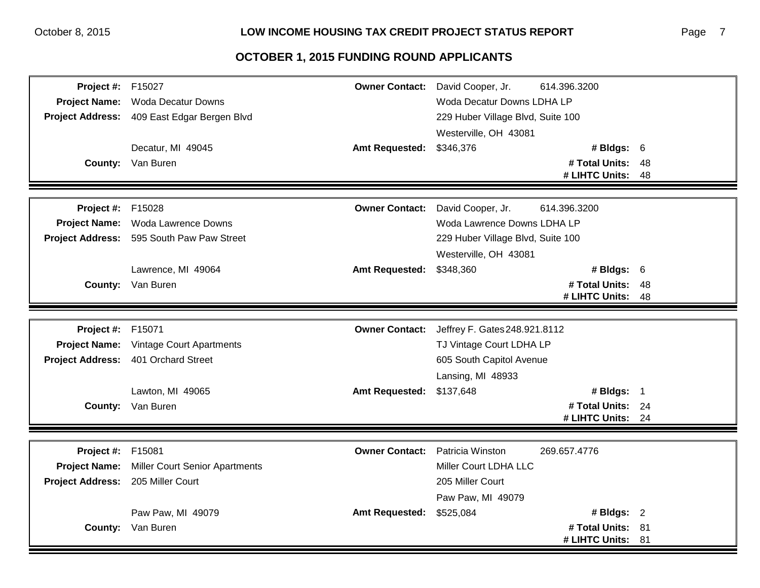| <b>Project #: F15027</b> |                                             | <b>Owner Contact:</b>    | David Cooper, Jr.                 | 614.396.3200      |    |
|--------------------------|---------------------------------------------|--------------------------|-----------------------------------|-------------------|----|
|                          | Project Name: Woda Decatur Downs            |                          | Woda Decatur Downs LDHA LP        |                   |    |
|                          | Project Address: 409 East Edgar Bergen Blvd |                          | 229 Huber Village Blvd, Suite 100 |                   |    |
|                          |                                             |                          | Westerville, OH 43081             |                   |    |
|                          | Decatur, MI 49045                           | <b>Amt Requested:</b>    | \$346,376                         | # Bldgs: 6        |    |
|                          | <b>County:</b> Van Buren                    |                          |                                   | # Total Units: 48 |    |
|                          |                                             |                          |                                   | # LIHTC Units:    | 48 |
|                          |                                             |                          |                                   |                   |    |
| Project #:               | F15028                                      | <b>Owner Contact:</b>    | David Cooper, Jr.                 | 614.396.3200      |    |
|                          | Project Name: Woda Lawrence Downs           |                          | Woda Lawrence Downs LDHA LP       |                   |    |
|                          | Project Address: 595 South Paw Paw Street   |                          | 229 Huber Village Blvd, Suite 100 |                   |    |
|                          |                                             |                          | Westerville, OH 43081             |                   |    |
|                          | Lawrence, MI 49064                          | <b>Amt Requested:</b>    | \$348,360                         | # Bldgs: $6$      |    |
|                          | <b>County:</b> Van Buren                    |                          |                                   | # Total Units: 48 |    |
|                          |                                             |                          |                                   | # LIHTC Units:    | 48 |
|                          |                                             |                          |                                   |                   |    |
| Project #:               | F15071                                      | <b>Owner Contact:</b>    | Jeffrey F. Gates 248.921.8112     |                   |    |
| <b>Project Name:</b>     | <b>Vintage Court Apartments</b>             |                          | TJ Vintage Court LDHA LP          |                   |    |
| <b>Project Address:</b>  | 401 Orchard Street                          |                          | 605 South Capitol Avenue          |                   |    |
|                          |                                             |                          | Lansing, MI 48933                 |                   |    |
|                          | Lawton, MI 49065                            | Amt Requested: \$137,648 |                                   | # Bldgs: 1        |    |
|                          | <b>County:</b> Van Buren                    |                          |                                   | # Total Units: 24 |    |
|                          |                                             |                          |                                   | # LIHTC Units: 24 |    |
|                          |                                             |                          |                                   |                   |    |
| Project #:               | F15081                                      | <b>Owner Contact:</b>    | Patricia Winston                  | 269.657.4776      |    |
| <b>Project Name:</b>     | <b>Miller Court Senior Apartments</b>       |                          | Miller Court LDHA LLC             |                   |    |
| <b>Project Address:</b>  | 205 Miller Court                            |                          | 205 Miller Court                  |                   |    |
|                          |                                             |                          | Paw Paw, MI 49079                 |                   |    |
|                          | Paw Paw, MI 49079                           | <b>Amt Requested:</b>    | \$525,084                         | # Bldgs: $2$      |    |
|                          | County: Van Buren                           |                          |                                   | # Total Units: 81 |    |
|                          |                                             |                          |                                   | # LIHTC Units: 81 |    |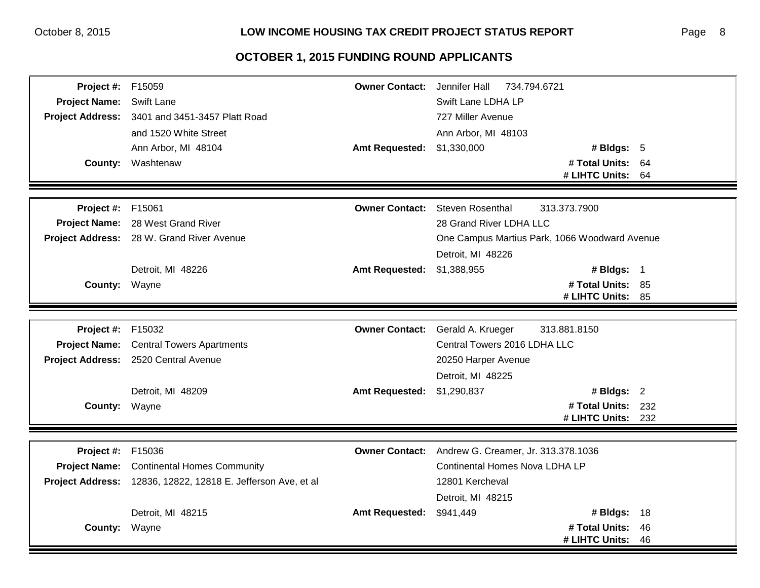| Project #: F15059        |                                                               | <b>Owner Contact:</b>      | Jennifer Hall<br>734.794.6721                 |          |
|--------------------------|---------------------------------------------------------------|----------------------------|-----------------------------------------------|----------|
| <b>Project Name:</b>     | <b>Swift Lane</b>                                             |                            | Swift Lane LDHA LP                            |          |
|                          | Project Address: 3401 and 3451-3457 Platt Road                |                            | 727 Miller Avenue                             |          |
|                          | and 1520 White Street                                         |                            | Ann Arbor, MI 48103                           |          |
|                          | Ann Arbor, MI 48104                                           | Amt Requested: \$1,330,000 | # Bldgs: $5$                                  |          |
|                          | <b>County: Washtenaw</b>                                      |                            | # Total Units: 64                             |          |
|                          |                                                               |                            | # LIHTC Units:                                | - 64     |
|                          |                                                               |                            |                                               |          |
| <b>Project #: F15061</b> |                                                               | <b>Owner Contact:</b>      | <b>Steven Rosenthal</b><br>313.373.7900       |          |
|                          | Project Name: 28 West Grand River                             |                            | 28 Grand River LDHA LLC                       |          |
|                          | Project Address: 28 W. Grand River Avenue                     |                            | One Campus Martius Park, 1066 Woodward Avenue |          |
|                          |                                                               |                            | Detroit, MI 48226                             |          |
|                          | Detroit, MI 48226                                             | <b>Amt Requested:</b>      | \$1,388,955<br># Bldgs: 1                     |          |
| County: Wayne            |                                                               |                            | # Total Units: 85                             |          |
|                          |                                                               |                            | # LIHTC Units: 85                             |          |
|                          |                                                               |                            |                                               |          |
| Project #:               | F15032                                                        | <b>Owner Contact:</b>      | Gerald A. Krueger<br>313.881.8150             |          |
| <b>Project Name:</b>     | <b>Central Towers Apartments</b>                              |                            | Central Towers 2016 LDHA LLC                  |          |
|                          | Project Address: 2520 Central Avenue                          |                            | 20250 Harper Avenue                           |          |
|                          |                                                               |                            | Detroit, MI 48225                             |          |
|                          | Detroit, MI 48209                                             | Amt Requested: \$1,290,837 | # Bldgs: 2                                    |          |
| <b>County: Wayne</b>     |                                                               |                            | # Total Units: 232                            |          |
|                          |                                                               |                            | # LIHTC Units:                                | 232      |
|                          |                                                               |                            |                                               |          |
| <b>Project #: F15036</b> |                                                               | <b>Owner Contact:</b>      | Andrew G. Creamer, Jr. 313.378.1036           |          |
|                          | <b>Project Name:</b> Continental Homes Community              |                            | <b>Continental Homes Nova LDHA LP</b>         |          |
|                          | Project Address: 12836, 12822, 12818 E. Jefferson Ave, et al. |                            | 12801 Kercheval                               |          |
|                          |                                                               |                            | Detroit, MI 48215                             |          |
|                          | Detroit, MI 48215                                             | <b>Amt Requested:</b>      | <b># Bldgs: 18</b><br>\$941,449               |          |
|                          |                                                               |                            |                                               |          |
| County: Wayne            |                                                               |                            | # Total Units:<br># LIHTC Units:              | 46<br>46 |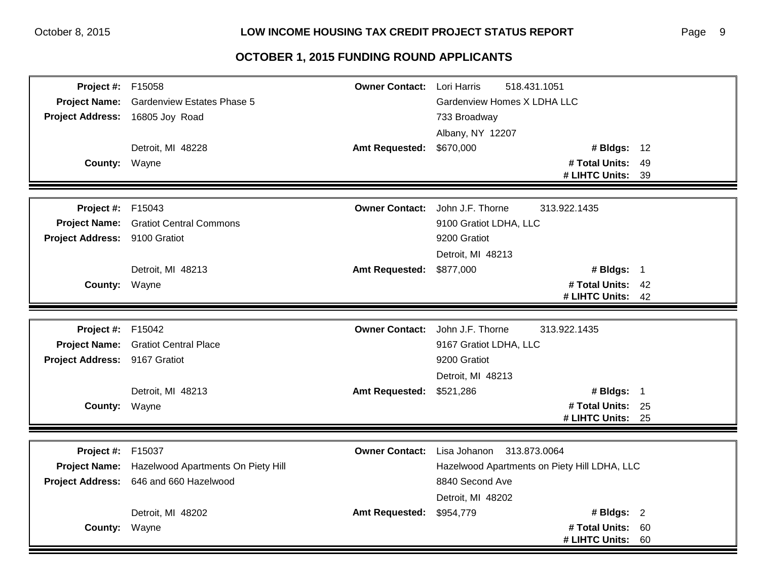| <b>Project #: F15058</b>        |                                                  | <b>Owner Contact:</b> Lori Harris | 518.431.1051                                           |             |
|---------------------------------|--------------------------------------------------|-----------------------------------|--------------------------------------------------------|-------------|
| <b>Project Name:</b>            | <b>Gardenview Estates Phase 5</b>                |                                   | Gardenview Homes X LDHA LLC                            |             |
| Project Address: 16805 Joy Road |                                                  |                                   | 733 Broadway                                           |             |
|                                 |                                                  |                                   | Albany, NY 12207                                       |             |
|                                 | Detroit, MI 48228                                | <b>Amt Requested:</b>             | \$670,000                                              | # Bldgs: 12 |
| County: Wayne                   |                                                  |                                   | # Total Units: 49                                      |             |
|                                 |                                                  |                                   | # LIHTC Units: 39                                      |             |
|                                 |                                                  |                                   |                                                        |             |
| <b>Project #: F15043</b>        |                                                  | <b>Owner Contact:</b>             | John J.F. Thorne<br>313.922.1435                       |             |
|                                 | <b>Project Name:</b> Gratiot Central Commons     |                                   | 9100 Gratiot LDHA, LLC                                 |             |
| Project Address: 9100 Gratiot   |                                                  |                                   | 9200 Gratiot                                           |             |
|                                 |                                                  |                                   | Detroit, MI 48213                                      |             |
|                                 | Detroit, MI 48213                                | <b>Amt Requested:</b>             | # Bldgs: 1<br>\$877,000                                |             |
| County: Wayne                   |                                                  |                                   | # Total Units: 42                                      |             |
|                                 |                                                  |                                   | # LIHTC Units: 42                                      |             |
|                                 |                                                  |                                   |                                                        |             |
| <b>Project #: F15042</b>        |                                                  |                                   | <b>Owner Contact:</b> John J.F. Thorne<br>313.922.1435 |             |
|                                 | Project Name: Gratiot Central Place              |                                   | 9167 Gratiot LDHA, LLC                                 |             |
| Project Address: 9167 Gratiot   |                                                  |                                   | 9200 Gratiot                                           |             |
|                                 |                                                  |                                   | Detroit, MI 48213                                      |             |
|                                 | Detroit, MI 48213                                | Amt Requested: \$521,286          | # Bldgs: 1                                             |             |
| County: Wayne                   |                                                  |                                   | # Total Units: 25                                      |             |
|                                 |                                                  |                                   | # LIHTC Units: 25                                      |             |
|                                 |                                                  |                                   |                                                        |             |
| Project #:                      | F15037                                           | <b>Owner Contact:</b>             | Lisa Johanon<br>313.873.0064                           |             |
|                                 | Project Name: Hazelwood Apartments On Piety Hill |                                   | Hazelwood Apartments on Piety Hill LDHA, LLC           |             |
|                                 | Project Address: 646 and 660 Hazelwood           |                                   | 8840 Second Ave                                        |             |
|                                 |                                                  |                                   | Detroit, MI 48202                                      |             |
|                                 | Detroit, MI 48202                                | <b>Amt Requested:</b>             | # Bldgs: $2$<br>\$954,779                              |             |
| County: Wayne                   |                                                  |                                   | # Total Units: 60                                      |             |
|                                 |                                                  |                                   | # LIHTC Units: 60                                      |             |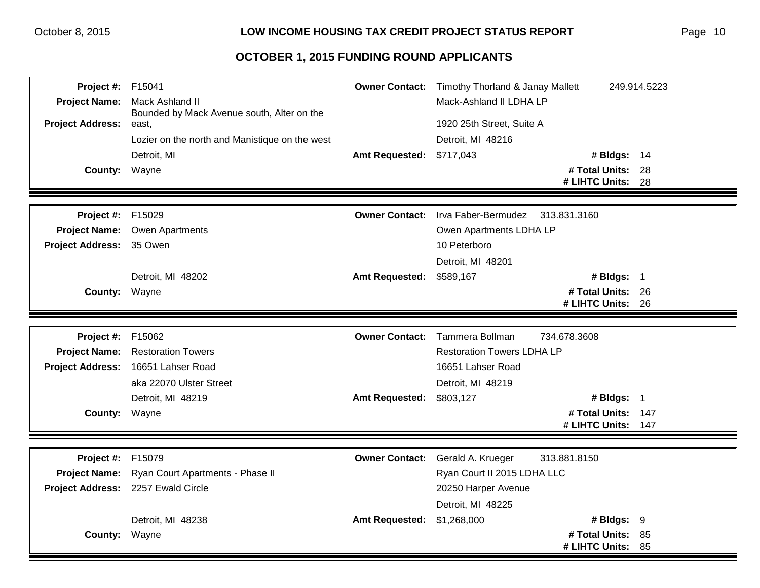| <b>Project #: F15041</b><br><b>Project Name:</b><br><b>Project Address:</b><br>County: | Mack Ashland II<br>Bounded by Mack Avenue south, Alter on the<br>east,<br>Lozier on the north and Manistique on the west<br>Detroit, MI<br>Wayne | <b>Amt Requested:</b> | <b>Owner Contact:</b> Timothy Thorland & Janay Mallett<br>Mack-Ashland II LDHA LP<br>1920 25th Street, Suite A<br>Detroit, MI 48216<br>\$717,043<br># Bldgs: 14<br># Total Units: 28<br># LIHTC Units: | 249.914.5223<br>28 |
|----------------------------------------------------------------------------------------|--------------------------------------------------------------------------------------------------------------------------------------------------|-----------------------|--------------------------------------------------------------------------------------------------------------------------------------------------------------------------------------------------------|--------------------|
| <b>Project #: F15029</b>                                                               |                                                                                                                                                  | <b>Owner Contact:</b> | Irva Faber-Bermudez<br>313.831.3160                                                                                                                                                                    |                    |
|                                                                                        | Project Name: Owen Apartments                                                                                                                    |                       | Owen Apartments LDHA LP                                                                                                                                                                                |                    |
| <b>Project Address:</b>                                                                | 35 Owen                                                                                                                                          |                       | 10 Peterboro                                                                                                                                                                                           |                    |
|                                                                                        |                                                                                                                                                  |                       | Detroit, MI 48201                                                                                                                                                                                      |                    |
|                                                                                        | Detroit, MI 48202                                                                                                                                | <b>Amt Requested:</b> | # Bldgs: 1<br>\$589,167                                                                                                                                                                                |                    |
| County: Wayne                                                                          |                                                                                                                                                  |                       | # Total Units: 26<br># LIHTC Units: 26                                                                                                                                                                 |                    |
|                                                                                        |                                                                                                                                                  |                       |                                                                                                                                                                                                        |                    |
| Project #:                                                                             | F15062                                                                                                                                           |                       | <b>Owner Contact:</b> Tammera Bollman<br>734.678.3608                                                                                                                                                  |                    |
| <b>Project Name:</b>                                                                   | <b>Restoration Towers</b>                                                                                                                        |                       | <b>Restoration Towers LDHA LP</b>                                                                                                                                                                      |                    |
|                                                                                        | Project Address: 16651 Lahser Road                                                                                                               |                       | 16651 Lahser Road                                                                                                                                                                                      |                    |
|                                                                                        | aka 22070 Ulster Street                                                                                                                          |                       | Detroit, MI 48219                                                                                                                                                                                      |                    |
|                                                                                        | Detroit, MI 48219                                                                                                                                | <b>Amt Requested:</b> | # Bldgs: 1<br>\$803,127                                                                                                                                                                                |                    |
| County: Wayne                                                                          |                                                                                                                                                  |                       | # Total Units: 147<br># LIHTC Units:                                                                                                                                                                   | 147                |
|                                                                                        |                                                                                                                                                  |                       |                                                                                                                                                                                                        |                    |
| Project #:                                                                             | F15079                                                                                                                                           | <b>Owner Contact:</b> | 313.881.8150<br>Gerald A. Krueger                                                                                                                                                                      |                    |
| <b>Project Name:</b>                                                                   | Ryan Court Apartments - Phase II                                                                                                                 |                       | Ryan Court II 2015 LDHA LLC                                                                                                                                                                            |                    |
| <b>Project Address:</b>                                                                | 2257 Ewald Circle                                                                                                                                |                       | 20250 Harper Avenue                                                                                                                                                                                    |                    |
|                                                                                        |                                                                                                                                                  |                       | Detroit, MI 48225                                                                                                                                                                                      |                    |
|                                                                                        | Detroit, MI 48238                                                                                                                                | <b>Amt Requested:</b> | \$1,268,000<br># Bldgs: 9                                                                                                                                                                              |                    |
| County: Wayne                                                                          |                                                                                                                                                  |                       | # Total Units: 85<br># LIHTC Units:                                                                                                                                                                    | -85                |